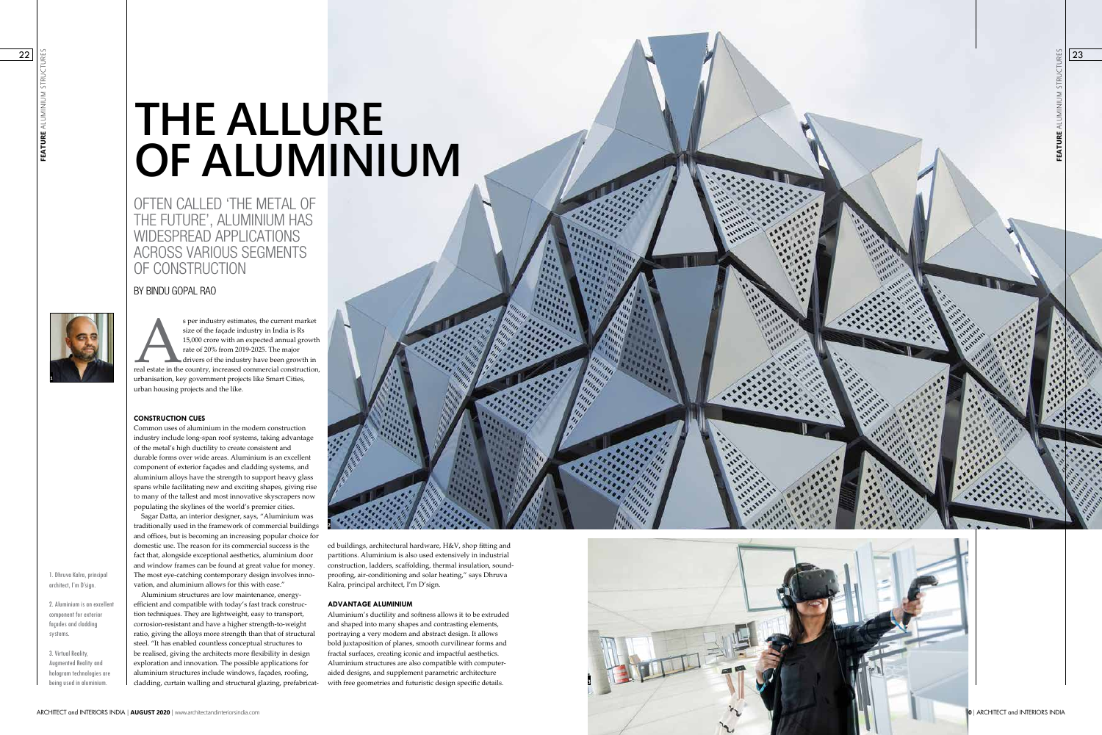



# **THE ALLURE OF ALUMINIUM**

OFTEN CALLED 'THE METAL OF THE FUTURE', ALUMINIUM HAS WIDESPREAD APPLICATIONS ACROSS VARIOUS SEGMENTS OF CONSTRUCTION

# BY BINDU GOPAL RAO

1. Dhruva Kalra, principal architect, I'm D'sign.

2. Aluminium is an excellent component for exterior façades and cladding systems.

s per industry estimates, the current market<br>size of the façade industry in India is Rs<br>15,000 crore with an expected annual growth<br>rate of 20% from 2019-2025. The major<br>drivers of the industry have been growth in<br>real est size of the façade industry in India is Rs 15,000 crore with an expected annual growth rate of 20% from 2019-2025. The major drivers of the industry have been growth in urbanisation, key government projects like Smart Cities, urban housing projects and the like.

3. Virtual Reality, Augmented Reality and hologram technologies are being used in aluminium.

## **CONSTRUCTION CUES**

Common uses of aluminium in the modern construction industry include long-span roof systems, taking advantage of the metal's high ductility to create consistent and durable forms over wide areas. Aluminium is an excellent component of exterior façades and cladding systems, and aluminium alloys have the strength to support heavy glass spans while facilitating new and exciting shapes, giving rise to many of the tallest and most innovative skyscrapers now populating the skylines of the world's premier cities.



Sagar Datta, an interior designer, says, "Aluminium was traditionally used in the framework of commercial buildings and offices, but is becoming an increasing popular choice for domestic use. The reason for its commercial success is the fact that, alongside exceptional aesthetics, aluminium door and window frames can be found at great value for money. The most eye-catching contemporary design involves inno vation, and aluminium allows for this with ease."

Aluminium structures are low maintenance, energyefficient and compatible with today's fast track construc tion techniques. They are lightweight, easy to transport, corrosion-resistant and have a higher strength-to-weight ratio, giving the alloys more strength than that of structural steel. "It has enabled countless conceptual structures to be realised, giving the architects more flexibility in design exploration and innovation. The possible applications for aluminium structures include windows, façades, roofing, cladding, curtain walling and structural glazing, prefabricat - ed buildings, architectural hardware, H&V, shop fitting and partitions. Aluminium is also used extensively in industrial construction, ladders, scaffolding, thermal insulation, sound proofing, air-conditioning and solar heating," says Dhruva Kalra, principal architect, I'm D'sign.

#### **ADVANTAGE ALUMINIUM**

Aluminium's ductility and softness allows it to be extruded and shaped into many shapes and contrasting elements, portraying a very modern and abstract design. It allows bold juxtaposition of planes, smooth curvilinear forms and fractal surfaces, creating iconic and impactful aesthetics. Aluminium structures are also compatible with computeraided designs, and supplement parametric architecture with free geometries and futuristic design specific details.

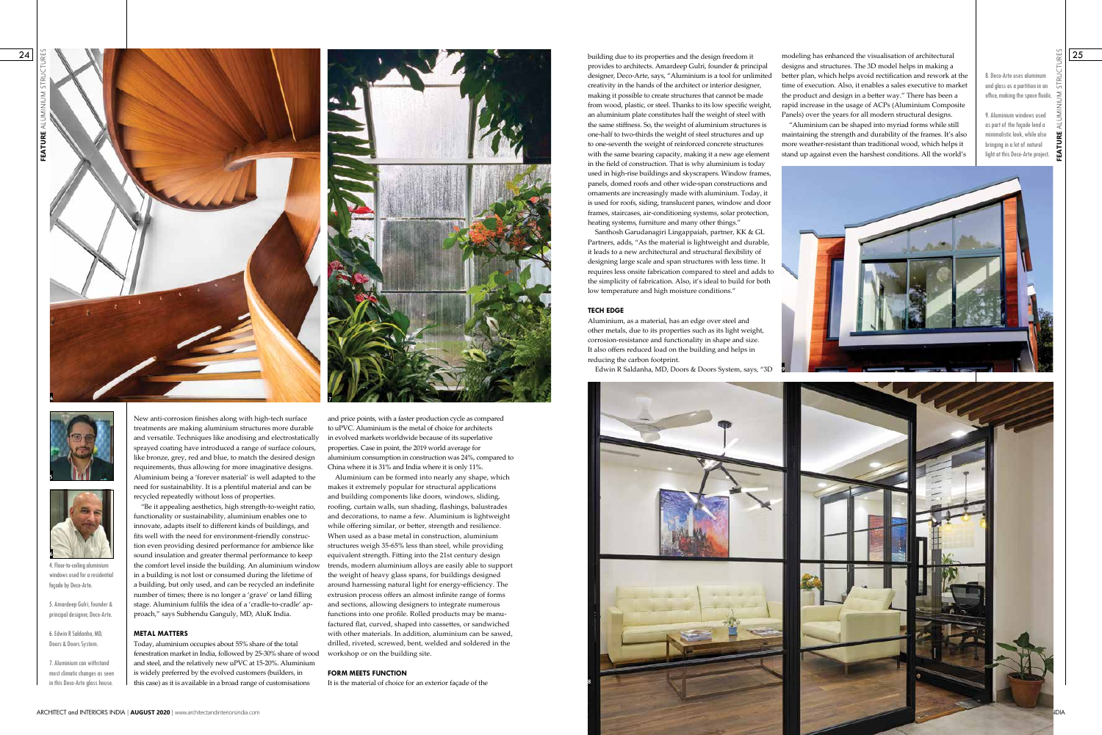**FEATURE** ALUMINIUM STRUCTURES



provides to architects. Amardeep Gulri, founder & principal designer, Deco-Arte, says, "Aluminium is a tool for unlimited creativity in the hands of the architect or interior designer, making it possible to create structures that cannot be made from wood, plastic, or steel. Thanks to its low specific weight, an aluminium plate constitutes half the weight of steel with the same stiffness. So, the weight of aluminium structures is one-half to two-thirds the weight of steel structures and up to one-seventh the weight of reinforced concrete structures with the same bearing capacity, making it a new age element in the field of construction. That is why aluminium is today used in high-rise buildings and skyscrapers. Window frames, panels, domed roofs and other wide-span constructions and ornaments are increasingly made with aluminium. Today, it is used for roofs, siding, translucent panes, window and door frames, staircases, air-conditioning systems, solar protection, heating systems, furniture and many other things."

Santhosh Garudanagiri Lingappaiah, partner, KK & GL Partners, adds, "As the material is lightweight and durable, it leads to a new architectural and structural flexibility of designing large scale and span structures with less time. It requires less onsite fabrication compared to steel and adds to the simplicity of fabrication. Also, it's ideal to build for both low temperature and high moisture conditions."

#### **TECH EDGE**

Aluminium, as a material, has an edge over steel and other metals, due to its properties such as its light weight, corrosion-resistance and functionality in shape and size. It also offers reduced load on the building and helps in reducing the carbon footprint.

in this Deco-Arte glass house. **I** this case) as it is available in a broad range of customisations It is the material of choice for an exterior façade of the Today, aluminium occupies about 55% share of the total fenestration market in India, followed by 25-30% share of wood and steel, and the relatively new uPVC at 15-20%. Aluminium is widely preferred by the evolved customers (builders, in

Edwin R Saldanha, MD, Doors & Doors System, says, "3D

5. Amardeep Gulri, founder & principal designer, Deco-Arte.

6. Edwin R Saldanha, MD, Doors & Doors System.

7. Aluminium can withstand most climatic changes as seen





New anti-corrosion finishes along with high-tech surface treatments are making aluminium structures more durable and versatile. Techniques like anodising and electrostatically sprayed coating have introduced a range of surface colours, like bronze, grey, red and blue, to match the desired design requirements, thus allowing for more imaginative designs. Aluminium being a 'forever material' is well adapted to the need for sustainability. It is a plentiful material and can be recycled repeatedly without loss of properties.

8. Deco-Arte uses aluminum and glass as a partition in an office, making the space fluidic.  $\ge$ 

"Be it appealing aesthetics, high strength-to-weight ratio, functionality or sustainability, aluminium enables one to innovate, adapts itself to different kinds of buildings, and fits well with the need for environment-friendly construction even providing desired performance for ambience like sound insulation and greater thermal performance to keep the comfort level inside the building. An aluminium window in a building is not lost or consumed during the lifetime of a building, but only used, and can be recycled an indefinite number of times; there is no longer a 'grave' or land filling stage. Aluminium fulfils the idea of a 'cradle-to-cradle' approach," says Subhendu Ganguly, MD, AluK India.



4. Floor-to-ceiling aluminiu windows used for a residential façade by Deco-Arte.

### **METAL MATTERS**

designs and structures. The 3D model helps in making a better plan, which helps avoid rectification and rework at the time of execution. Also, it enables a sales executive to market the product and design in a better way." There has been a rapid increase in the usage of ACPs (Aluminium Composite Panels) over the years for all modern structural designs.

"Aluminium can be shaped into myriad forms while still maintaining the strength and durability of the frames. It's also more weather-resistant than traditional wood, which helps it stand up against even the harshest conditions. All the world's



and price points, with a faster production cycle as compared to uPVC. Aluminium is the metal of choice for architects in evolved markets worldwide because of its superlative properties. Case in point, the 2019 world average for aluminium consumption in construction was 24%, compared to China where it is 31% and India where it is only 11%.

Aluminium can be formed into nearly any shape, which makes it extremely popular for structural applications and building components like doors, windows, sliding, roofing, curtain walls, sun shading, flashings, balustrades and decorations, to name a few. Aluminium is lightweight while offering similar, or better, strength and resilience. When used as a base metal in construction, aluminium structures weigh 35-65% less than steel, while providing equivalent strength. Fitting into the 21st century design trends, modern aluminium alloys are easily able to support the weight of heavy glass spans, for buildings designed around harnessing natural light for energy-efficiency. The extrusion process offers an almost infinite range of forms and sections, allowing designers to integrate numerous functions into one profile. Rolled products may be manufactured flat, curved, shaped into cassettes, or sandwiched with other materials. In addition, aluminium can be sawed, drilled, riveted, screwed, bent, welded and soldered in the workshop or on the building site.

#### **FORM MEETS FUNCTION**

It is the material of choice for an exterior façade of the

9. Aluminium windows used as part of the façade lend a minimalistic look, while also bringing in a lot of natural light at this Deco-Arte project.

**9**